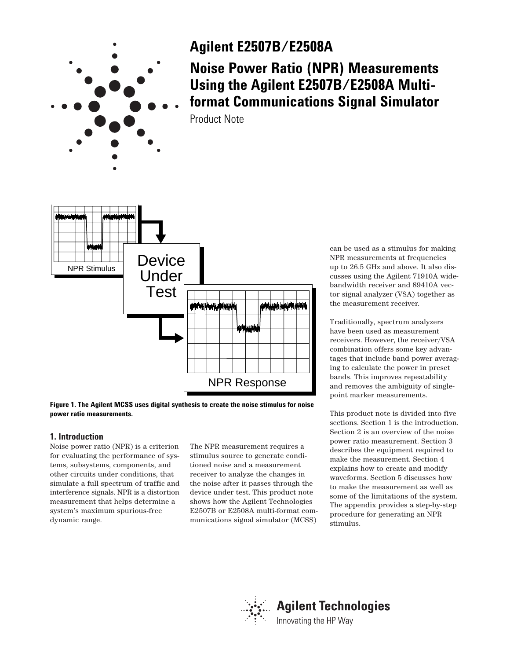

# **Agilent E2507B/E2508A**

# **Noise Power Ratio (NPR) Measurements Using the Agilent E2507B/E2508A Multiformat Communications Signal Simulator**

Product Note



**Figure 1. The Agilent MCSS uses digital synthesis to create the noise stimulus for noise power ratio measurements.**

# **1. Introduction**

Noise power ratio (NPR) is a criterion for evaluating the performance of systems, subsystems, components, and other circuits under conditions, that simulate a full spectrum of traffic and interference signals. NPR is a distortion measurement that helps determine a system's maximum spurious-free dynamic range.

The NPR measurement requires a stimulus source to generate conditioned noise and a measurement receiver to analyze the changes in the noise after it passes through the device under test. This product note shows how the Agilent Technologies E2507B or E2508A multi-format communications signal simulator (MCSS)

can be used as a stimulus for making NPR measurements at frequencies up to 26.5 GHz and above. It also discusses using the Agilent 71910A widebandwidth receiver and 89410A vector signal analyzer (VSA) together as the measurement receiver.

Traditionally, spectrum analyzers have been used as measurement receivers. However, the receiver/VSA combination offers some key advantages that include band power averaging to calculate the power in preset bands. This improves repeatability and removes the ambiguity of singlepoint marker measurements.

This product note is divided into five sections. Section 1 is the introduction. Section 2 is an overview of the noise power ratio measurement. Section 3 describes the equipment required to make the measurement. Section 4 explains how to create and modify waveforms. Section 5 discusses how to make the measurement as well as some of the limitations of the system. The appendix provides a step-by-step procedure for generating an NPR stimulus.

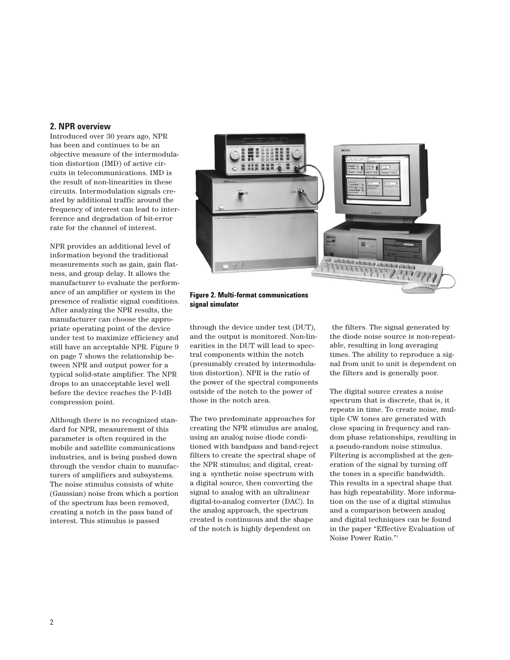# **2. NPR overview**

Introduced over 30 years ago, NPR has been and continues to be an objective measure of the intermodulation distortion (IMD) of active circuits in telecommunications. IMD is the result of non-linearities in these circuits. Intermodulation signals created by additional traffic around the frequency of interest can lead to interference and degradation of bit-error rate for the channel of interest.

NPR provides an additional level of information beyond the traditional measurements such as gain, gain flatness, and group delay. It allows the manufacturer to evaluate the performance of an amplifier or system in the presence of realistic signal conditions. After analyzing the NPR results, the manufacturer can choose the appropriate operating point of the device under test to maximize efficiency and still have an acceptable NPR. Figure 9 on page 7 shows the relationship between NPR and output power for a typical solid-state amplifier. The NPR drops to an unacceptable level well before the device reaches the P-1dB compression point.

Although there is no recognized standard for NPR, measurement of this parameter is often required in the mobile and satellite communications industries, and is being pushed down through the vendor chain to manufacturers of amplifiers and subsystems. The noise stimulus consists of white (Gaussian) noise from which a portion of the spectrum has been removed, creating a notch in the pass band of interest. This stimulus is passed



**Figure 2. Multi-format communications signal simulator**

through the device under test (DUT), and the output is monitored. Non-linearities in the DUT will lead to spectral components within the notch (presumably created by intermodulation distortion). NPR is the ratio of the power of the spectral components outside of the notch to the power of those in the notch area.

The two predominate approaches for creating the NPR stimulus are analog, using an analog noise diode conditioned with bandpass and band-reject filters to create the spectral shape of the NPR stimulus; and digital, creating a synthetic noise spectrum with a digital source, then converting the signal to analog with an ultralinear digital-to-analog converter (DAC). In the analog approach, the spectrum created is continuous and the shape of the notch is highly dependent on

the filters. The signal generated by the diode noise source is non-repeatable, resulting in long averaging times. The ability to reproduce a signal from unit to unit is dependent on the filters and is generally poor.

The digital source creates a noise spectrum that is discrete, that is, it repeats in time. To create noise, multiple CW tones are generated with close spacing in frequency and random phase relationships, resulting in a pseudo-random noise stimulus. Filtering is accomplished at the generation of the signal by turning off the tones in a specific bandwidth. This results in a spectral shape that has high repeatability. More information on the use of a digital stimulus and a comparison between analog and digital techniques can be found in the paper "Effective Evaluation of Noise Power Ratio."1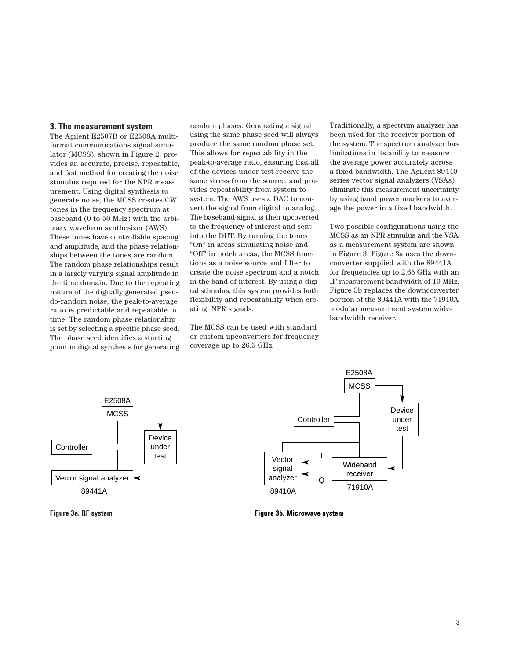## **3. The measurement system**

The Agilent E2507B or E2508A multiformat communications signal simulator (MCSS), shown in Figure 2, provides an accurate, precise, repeatable, and fast method for creating the noise stimulus required for the NPR measurement. Using digital synthesis to generate noise, the MCSS creates CW tones in the frequency spectrum at baseband (0 to 50 MHz) with the arbitrary waveform synthesizer (AWS). These tones have controllable spacing and amplitude, and the phase relationships between the tones are random. The random phase relationships result in a largely varying signal amplitude in the time domain. Due to the repeating nature of the digitally generated pseudo-random noise, the peak-to-average ratio is predictable and repeatable in time. The random phase relationship is set by selecting a specific phase seed. The phase seed identifies a starting point in digital synthesis for generating

random phases. Generating a signal using the same phase seed will always produce the same random phase set. This allows for repeatability in the peak-to-average ratio, ensuring that all of the devices under test receive the same stress from the source, and provides repeatability from system to system. The AWS uses a DAC to convert the signal from digital to analog. The baseband signal is then upcoverted to the frequency of interest and sent into the DUT. By turning the tones "On" in areas simulating noise and "Off" in notch areas, the MCSS functions as a noise source and filter to create the noise spectrum and a notch in the band of interest. By using a digital stimulus, this system provides both flexibility and repeatability when creating NPR signals.

The MCSS can be used with standard or custom upconverters for frequency coverage up to 26.5 GHz.

Traditionally, a spectrum analyzer has been used for the receiver portion of the system. The spectrum analyzer has limitations in its ability to measure the average power accurately across a fixed bandwidth. The Agilent 89440 series vector signal analyzers (VSAs) eliminate this measurement uncertainty by using band power markers to average the power in a fixed bandwidth.

Two possible configurations using the MCSS as an NPR stimulus and the VSA as a measurement system are shown in Figure 3. Figure 3a uses the downconverter supplied with the 89441A for frequencies up to 2.65 GHz with an IF measurement bandwidth of 10 MHz. Figure 3b replaces the downconverter portion of the 89441A with the 71910A modular measurement system widebandwidth receiver.



**Figure 3a. RF system**



**Figure 3b. Microwave system**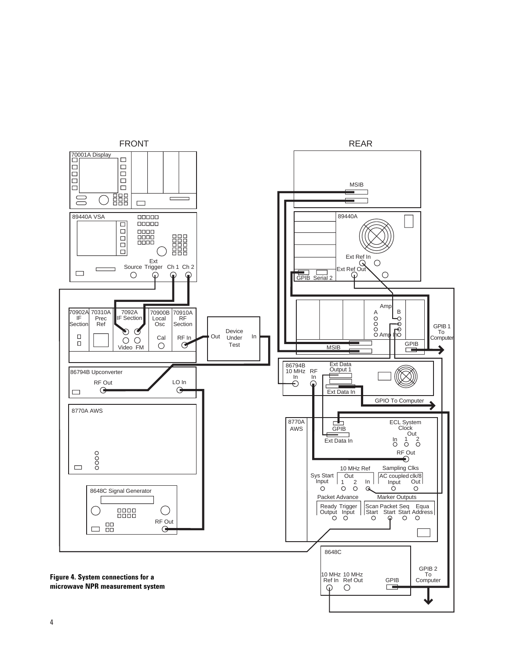

4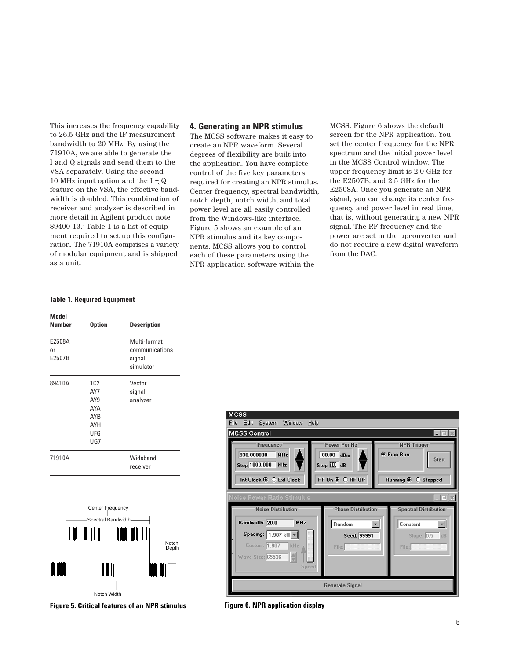This increases the frequency capability to 26.5 GHz and the IF measurement bandwidth to 20 MHz. By using the 71910A, we are able to generate the I and Q signals and send them to the VSA separately. Using the second 10 MHz input option and the I +jQ feature on the VSA, the effective bandwidth is doubled. This combination of receiver and analyzer is described in more detail in Agilent product note 89400-13.2 Table 1 is a list of equipment required to set up this configuration. The 71910A comprises a variety of modular equipment and is shipped as a unit.

## **4. Generating an NPR stimulus**

The MCSS software makes it easy to create an NPR waveform. Several degrees of flexibility are built into the application. You have complete control of the five key parameters required for creating an NPR stimulus. Center frequency, spectral bandwidth, notch depth, notch width, and total power level are all easily controlled from the Windows-like interface. Figure 5 shows an example of an NPR stimulus and its key components. MCSS allows you to control each of these parameters using the NPR application software within the

MCSS. Figure 6 shows the default screen for the NPR application. You set the center frequency for the NPR spectrum and the initial power level in the MCSS Control window. The upper frequency limit is 2.0 GHz for the E2507B, and 2.5 GHz for the E2508A. Once you generate an NPR signal, you can change its center frequency and power level in real time, that is, without generating a new NPR signal. The RF frequency and the power are set in the upconverter and do not require a new digital waveform from the DAC.

## **Table 1. Required Equipment**

| Model<br>Number        | <b>Option</b>                                               | <b>Description</b>                                    |
|------------------------|-------------------------------------------------------------|-------------------------------------------------------|
| E2508A<br>nr<br>E2507B |                                                             | Multi-format<br>communications<br>signal<br>simulator |
| 89410A                 | 1C2<br>AY7<br>AY9<br>AYA<br><b>AYB</b><br>AYH<br>UFG<br>UG7 | Vector<br>signal<br>analyzer                          |
| 71910A                 |                                                             | Wideband<br>receiver                                  |





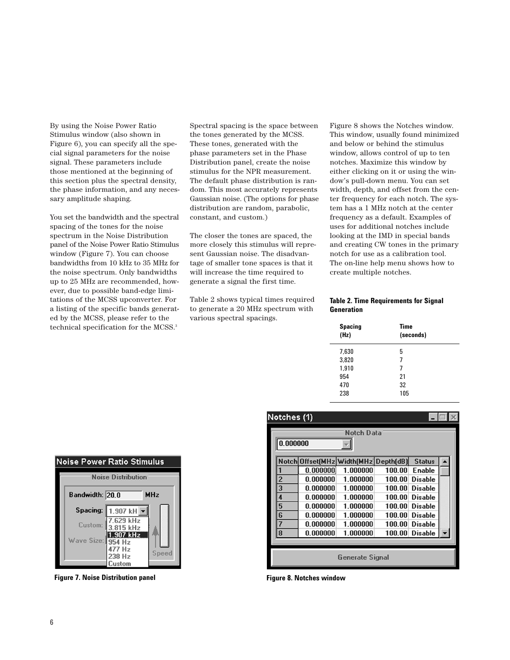By using the Noise Power Ratio Stimulus window (also shown in Figure 6), you can specify all the special signal parameters for the noise signal. These parameters include those mentioned at the beginning of this section plus the spectral density, the phase information, and any necessary amplitude shaping.

You set the bandwidth and the spectral spacing of the tones for the noise spectrum in the Noise Distribution panel of the Noise Power Ratio Stimulus window (Figure 7). You can choose bandwidths from 10 kHz to 35 MHz for the noise spectrum. Only bandwidths up to 25 MHz are recommended, however, due to possible band-edge limitations of the MCSS upconverter. For a listing of the specific bands generated by the MCSS, please refer to the technical specification for the MCSS.<sup>3</sup>

Spectral spacing is the space between the tones generated by the MCSS. These tones, generated with the phase parameters set in the Phase Distribution panel, create the noise stimulus for the NPR measurement. The default phase distribution is random. This most accurately represents Gaussian noise. (The options for phase distribution are random, parabolic, constant, and custom.)

The closer the tones are spaced, the more closely this stimulus will represent Gaussian noise. The disadvantage of smaller tone spaces is that it will increase the time required to generate a signal the first time.

Table 2 shows typical times required to generate a 20 MHz spectrum with various spectral spacings.

Figure 8 shows the Notches window. This window, usually found minimized and below or behind the stimulus window, allows control of up to ten notches. Maximize this window by either clicking on it or using the window's pull-down menu. You can set width, depth, and offset from the center frequency for each notch. The system has a 1 MHz notch at the center frequency as a default. Examples of uses for additional notches include looking at the IMD in special bands and creating CW tones in the primary notch for use as a calibration tool. The on-line help menu shows how to create multiple notches.

## **Table 2. Time Requirements for Signal Generation**

| Notches (1)     |                                      |          |        |                |  |
|-----------------|--------------------------------------|----------|--------|----------------|--|
|                 | Notch Data                           |          |        |                |  |
| 0.000000        |                                      |          |        |                |  |
|                 | Notch Offset(MHz Width(MHz Depth(dB) |          |        | <b>Status</b>  |  |
|                 | 0.000000                             | 1.000000 | 100.00 | <b>Enable</b>  |  |
| $\overline{2}$  | 0.000000                             | 1.000000 | 100.00 | <b>Disable</b> |  |
| 3               | 0.000000                             | 1.000000 | 100.00 | <b>Disable</b> |  |
| 4               | 0.000000                             | 1.000000 | 100.00 | <b>Disable</b> |  |
| 5               | 0.000000                             | 1.000000 | 100.00 | <b>Disable</b> |  |
| 6               | 0.000000                             | 1.000000 | 100.00 | <b>Disable</b> |  |
| 7               | 0.000000                             | 1.000000 | 100.00 | <b>Disable</b> |  |
| 8               | 0.000000                             | 1.000000 | 100.00 | <b>Disable</b> |  |
|                 |                                      |          |        |                |  |
| Generate Signal |                                      |          |        |                |  |

| <b>Noise Power Ratio Stimulus</b> |                           |       |  |
|-----------------------------------|---------------------------|-------|--|
|                                   | <b>Noise Distribution</b> |       |  |
| Bandwidth: 20.0<br><b>MHz</b>     |                           |       |  |
| Spacing:                          | 1.907 kH •                |       |  |
| Custom:                           | 7.629 kHz<br>3.815 kHz    |       |  |
| Wave Size: 954 Hz                 | 1.907 kHz                 |       |  |
|                                   | 477 Hz<br>238 Hz<br>ustom | Speed |  |

**Figure 7. Noise Distribution panel Figure 8. Notches window**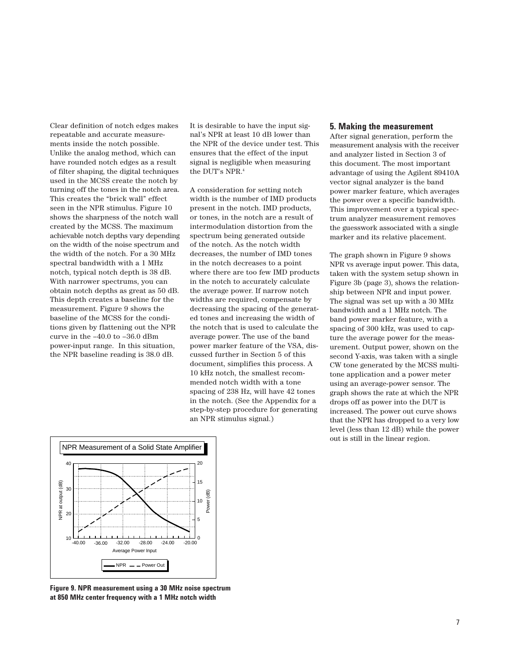Clear definition of notch edges makes repeatable and accurate measurements inside the notch possible. Unlike the analog method, which can have rounded notch edges as a result of filter shaping, the digital techniques used in the MCSS create the notch by turning off the tones in the notch area. This creates the "brick wall" effect seen in the NPR stimulus. Figure 10 shows the sharpness of the notch wall created by the MCSS. The maximum achievable notch depths vary depending on the width of the noise spectrum and the width of the notch. For a 30 MHz spectral bandwidth with a 1 MHz notch, typical notch depth is 38 dB. With narrower spectrums, you can obtain notch depths as great as 50 dB. This depth creates a baseline for the measurement. Figure 9 shows the baseline of the MCSS for the conditions given by flattening out the NPR curve in the –40.0 to –36.0 dBm power-input range. In this situation, the NPR baseline reading is 38.0 dB.

It is desirable to have the input signal's NPR at least 10 dB lower than the NPR of the device under test. This ensures that the effect of the input signal is negligible when measuring the DUT's NPR.4

A consideration for setting notch width is the number of IMD products present in the notch. IMD products, or tones, in the notch are a result of intermodulation distortion from the spectrum being generated outside of the notch. As the notch width decreases, the number of IMD tones in the notch decreases to a point where there are too few IMD products in the notch to accurately calculate the average power. If narrow notch widths are required, compensate by decreasing the spacing of the generated tones and increasing the width of the notch that is used to calculate the average power. The use of the band power marker feature of the VSA, discussed further in Section 5 of this document, simplifies this process. A 10 kHz notch, the smallest recommended notch width with a tone spacing of 238 Hz, will have 42 tones in the notch. (See the Appendix for a step-by-step procedure for generating an NPR stimulus signal.)

## **5. Making the measurement**

After signal generation, perform the measurement analysis with the receiver and analyzer listed in Section 3 of this document. The most important advantage of using the Agilent 89410A vector signal analyzer is the band power marker feature, which averages the power over a specific bandwidth. This improvement over a typical spectrum analyzer measurement removes the guesswork associated with a single marker and its relative placement.

The graph shown in Figure 9 shows NPR vs average input power. This data, taken with the system setup shown in Figure 3b (page 3), shows the relationship between NPR and input power. The signal was set up with a 30 MHz bandwidth and a 1 MHz notch. The band power marker feature, with a spacing of 300 kHz, was used to capture the average power for the measurement. Output power, shown on the second Y-axis, was taken with a single CW tone generated by the MCSS multitone application and a power meter using an average-power sensor. The graph shows the rate at which the NPR drops off as power into the DUT is increased. The power out curve shows that the NPR has dropped to a very low level (less than 12 dB) while the power out is still in the linear region.



**Figure 9. NPR measurement using a 30 MHz noise spectrum at 850 MHz center frequency with a 1 MHz notch width**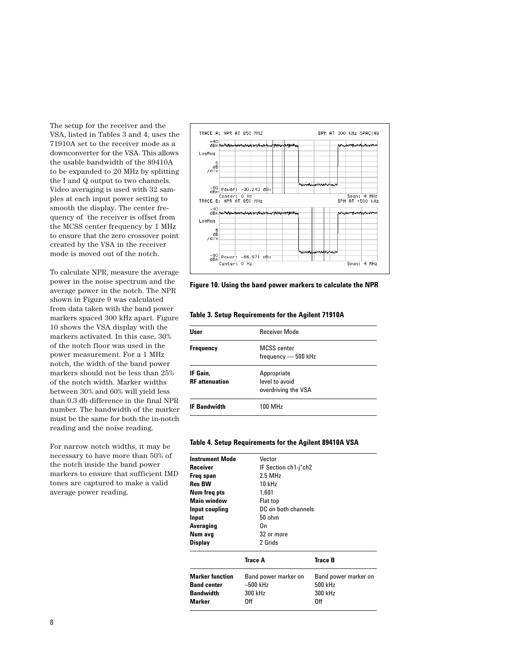The setup for the receiver and the VSA, listed in Tables 3 and 4, uses the 71910A set to the receiver mode as a downconverter for the VSA. This allows the usable bandwidth of the 89410A to be expanded to 20 MHz by splitting the I and Q output to two channels. Video averaging is used with 32 samples at each input power setting to smooth the display. The center frequency of the receiver is offset from the MCSS center frequency by 1 MHz to ensure that the zero crossover point created by the VSA in the receiver mode is moved out of the notch.

To calculate NPR, measure the average power in the noise spectrum and the average power in the notch. The NPR shown in Figure 9 was calculated from data taken with the band power markers spaced 300 kHz apart. Figure 10 shows the VSA display with the markers activated. In this case, 30% of the notch floor was used in the power measurement. For a 1 MHz notch, the width of the band power markers should not be less than 25% of the notch width. Marker widths between 30% and 60% will yield less than 0.3 db difference in the final NPR number. The bandwidth of the marker must be the same for both the in-notch reading and the noise reading.

For narrow notch widths, it may be necessary to have more than 50% of the notch inside the band power markers to ensure that sufficient IMD tones are captured to make a valid average power reading.



**Figure 10. Using the band power markers to calculate the NPR**

**Table 3. Setup Requirements for the Agilent 71910A**

| User                              | <b>Receiver Mode</b>                                 |  |
|-----------------------------------|------------------------------------------------------|--|
| <b>Frequency</b>                  | <b>MCSS</b> center<br>frequency - 500 kHz            |  |
| IF Gain.<br><b>RF</b> attenuation | Appropriate<br>level to avoid<br>overdriving the VSA |  |
| <b>IF Bandwidth</b>               | 100 MHz                                              |  |

## **Table 4. Setup Requirements for the Agilent 89410A VSA**

| <b>Marker function</b><br><b>Band center</b><br><b>Bandwidth</b><br>Marker | Band power marker on<br>$-500$ kHz<br>300 kHz<br>Off | Band power marker on<br>500 kHz<br>300 kHz<br>Off |  |
|----------------------------------------------------------------------------|------------------------------------------------------|---------------------------------------------------|--|
|                                                                            | Trace A                                              | Trace B                                           |  |
| Display                                                                    | 2 Grids                                              |                                                   |  |
| Num avg                                                                    | 32 or more                                           |                                                   |  |
| Averaging                                                                  | On                                                   |                                                   |  |
| Input                                                                      | $50$ ohm                                             |                                                   |  |
| Input coupling                                                             | DC on both channels                                  |                                                   |  |
| Main window                                                                | Flat top                                             |                                                   |  |
| Num freg pts                                                               | 1.601                                                |                                                   |  |
| <b>Res BW</b>                                                              | 10 kHz                                               |                                                   |  |
| Freq span                                                                  | $2.5$ MHz                                            |                                                   |  |
| Receiver                                                                   | IF Section ch1-j*ch2                                 |                                                   |  |
| <b>Instrument Mode</b>                                                     | Vector                                               |                                                   |  |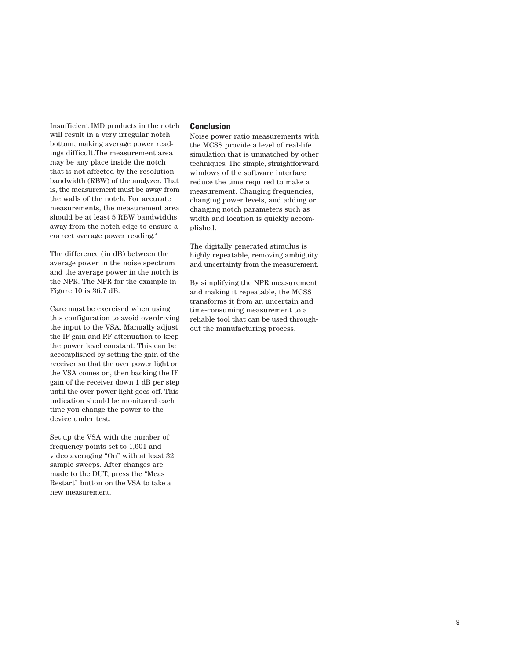Insufficient IMD products in the notch will result in a very irregular notch bottom, making average power readings difficult.The measurement area may be any place inside the notch that is not affected by the resolution bandwidth (RBW) of the analyzer. That is, the measurement must be away from the walls of the notch. For accurate measurements, the measurement area should be at least 5 RBW bandwidths away from the notch edge to ensure a correct average power reading.4

The difference (in dB) between the average power in the noise spectrum and the average power in the notch is the NPR. The NPR for the example in Figure 10 is 36.7 dB.

Care must be exercised when using this configuration to avoid overdriving the input to the VSA. Manually adjust the IF gain and RF attenuation to keep the power level constant. This can be accomplished by setting the gain of the receiver so that the over power light on the VSA comes on, then backing the IF gain of the receiver down 1 dB per step until the over power light goes off. This indication should be monitored each time you change the power to the device under test.

Set up the VSA with the number of frequency points set to 1,601 and video averaging "On" with at least 32 sample sweeps. After changes are made to the DUT, press the "Meas Restart" button on the VSA to take a new measurement.

## **Conclusion**

Noise power ratio measurements with the MCSS provide a level of real-life simulation that is unmatched by other techniques. The simple, straightforward windows of the software interface reduce the time required to make a measurement. Changing frequencies, changing power levels, and adding or changing notch parameters such as width and location is quickly accomplished.

The digitally generated stimulus is highly repeatable, removing ambiguity and uncertainty from the measurement.

By simplifying the NPR measurement and making it repeatable, the MCSS transforms it from an uncertain and time-consuming measurement to a reliable tool that can be used throughout the manufacturing process.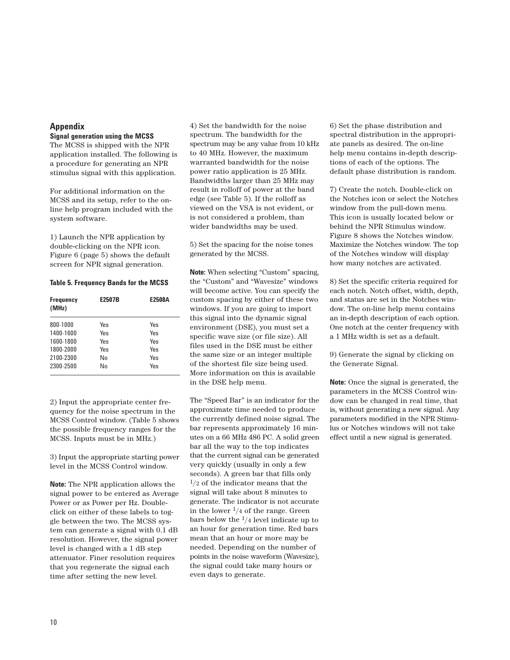# **Appendix**

## **Signal generation using the MCSS**

The MCSS is shipped with the NPR application installed. The following is a procedure for generating an NPR stimulus signal with this application.

For additional information on the MCSS and its setup, refer to the online help program included with the system software.

1) Launch the NPR application by double-clicking on the NPR icon. Figure 6 (page 5) shows the default screen for NPR signal generation.

## **Table 5. Frequency Bands for the MCSS**

| <b>Frequency</b><br>(MHz) | E2507B | E2508A |
|---------------------------|--------|--------|
| 800-1000                  | Yes    | Yes    |
| 1400-1600                 | Yes    | Yes    |
| 1600-1800                 | Yes    | Yes    |
| 1800-2000                 | Yes    | Yes    |
| 2100-2300                 | N٥     | Yes    |
| 2300-2500                 | N٥     | Yes    |

2) Input the appropriate center frequency for the noise spectrum in the MCSS Control window. (Table 5 shows the possible frequency ranges for the MCSS. Inputs must be in MHz.)

3) Input the appropriate starting power level in the MCSS Control window.

**Note:** The NPR application allows the signal power to be entered as Average Power or as Power per Hz. Doubleclick on either of these labels to toggle between the two. The MCSS system can generate a signal with 0.1 dB resolution. However, the signal power level is changed with a 1 dB step attenuator. Finer resolution requires that you regenerate the signal each time after setting the new level.

4) Set the bandwidth for the noise spectrum. The bandwidth for the spectrum may be any value from 10 kHz to 40 MHz. However, the maximum warranted bandwidth for the noise power ratio application is 25 MHz. Bandwidths larger than 25 MHz may result in rolloff of power at the band edge (see Table 5). If the rolloff as viewed on the VSA is not evident, or is not considered a problem, than wider bandwidths may be used.

5) Set the spacing for the noise tones generated by the MCSS.

**Note:** When selecting "Custom" spacing, the "Custom" and "Wavesize" windows will become active. You can specify the custom spacing by either of these two windows. If you are going to import this signal into the dynamic signal environment (DSE), you must set a specific wave size (or file size). All files used in the DSE must be either the same size or an integer multiple of the shortest file size being used. More information on this is available in the DSE help menu.

The "Speed Bar" is an indicator for the approximate time needed to produce the currently defined noise signal. The bar represents approximately 16 minutes on a 66 MHz 486 PC. A solid green bar all the way to the top indicates that the current signal can be generated very quickly (usually in only a few seconds). A green bar that fills only  $1/2$  of the indicator means that the signal will take about 8 minutes to generate. The indicator is not accurate in the lower  $\frac{1}{4}$  of the range. Green bars below the  $\frac{1}{4}$  level indicate up to an hour for generation time. Red bars mean that an hour or more may be needed. Depending on the number of points in the noise waveform (Wavesize), the signal could take many hours or even days to generate.

6) Set the phase distribution and spectral distribution in the appropriate panels as desired. The on-line help menu contains in-depth descriptions of each of the options. The default phase distribution is random.

7) Create the notch. Double-click on the Notches icon or select the Notches window from the pull-down menu. This icon is usually located below or behind the NPR Stimulus window. Figure 8 shows the Notches window. Maximize the Notches window. The top of the Notches window will display how many notches are activated.

8) Set the specific criteria required for each notch. Notch offset, width, depth, and status are set in the Notches window. The on-line help menu contains an in-depth description of each option. One notch at the center frequency with a 1 MHz width is set as a default.

9) Generate the signal by clicking on the Generate Signal.

**Note:** Once the signal is generated, the parameters in the MCSS Control window can be changed in real time, that is, without generating a new signal. Any parameters modified in the NPR Stimulus or Notches windows will not take effect until a new signal is generated.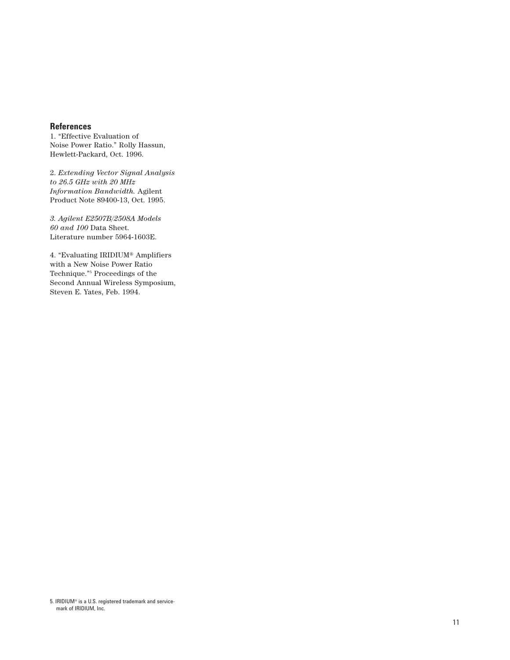# **References**

1. "Effective Evaluation of Noise Power Ratio." Rolly Hassun, Hewlett-Packard, Oct. 1996.

2. *Extending Vector Signal Analysis to 26.5 GHz with 20 MHz Information Bandwidth.* Agilent Product Note 89400-13, Oct. 1995.

*3. Agilent E2507B/2508A Models 60 and 100* Data Sheet. Literature number 5964-1603E.

4. "Evaluating IRIDIUM® Amplifiers with a New Noise Power Ratio Technique."5 Proceedings of the Second Annual Wireless Symposium, Steven E. Yates, Feb. 1994.

<sup>5.</sup> IRIDIUM® is a U.S. registered trademark and servicemark of IRIDIUM, Inc.